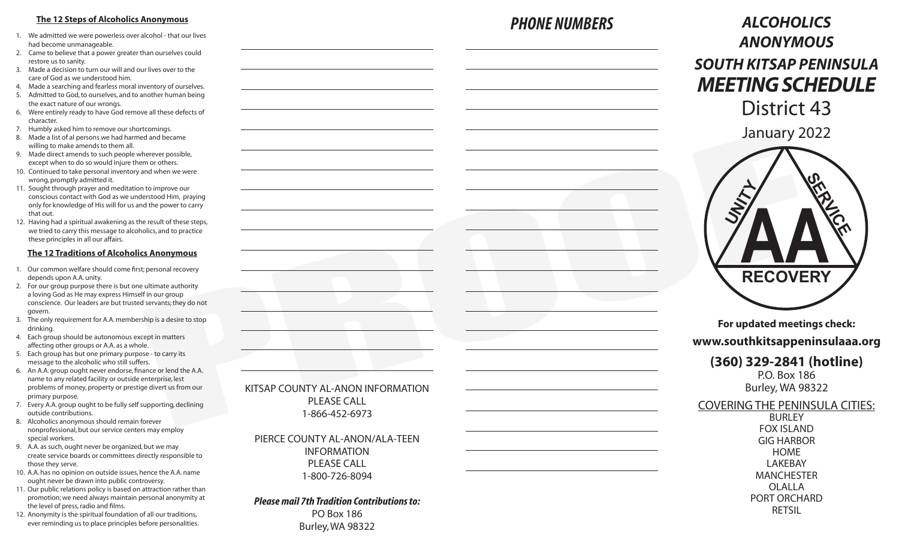## **The 12 Steps of Alcoholics Anonymous**

- 1. We admitted we were powerless over alcohol that our lives had become unmanageable.
- 2. Came to believe that a power greater than ourselves could restore us to sanity.
- 3. Made a decision to turn our will and our lives over to the care of God as we understood him.
- 4. Made a searching and fearless moral inventory of ourselves. 5. Admitted to God, to ourselves, and to another human being
- the exact nature of our wrongs. 6. Were entirely ready to have God remove all these defects of character.
- 7. Humbly asked him to remove our shortcomings.
- Made a list of al persons we had harmed and became willing to make amends to them all.
- 9. Made direct amends to such people wherever possible, except when to do so would injure them or others.
- 10. Continued to take personal inventory and when we were wrong, promptly admitted it.
- 11. Sought through prayer and meditation to improve our conscious contact with God as we understood Him, praying only for knowledge of His will for us and the power to carry that out.
- 12. Having had a spiritual awakening as the result of these steps, we tried to carry this message to alcoholics, and to practice these principles in all our affairs.

#### **The 12 Traditions of Alcoholics Anonymous**

- 1. Our common welfare should come first; personal recovery depends upon A.A. unity.
- 2. For our group purpose there is but one ultimate authority a loving God as He may express Himself in our group conscience. Our leaders are but trusted servants; they do not govern.
- 3. The only requirement for A.A. membership is a desire to stop drinking.
- 4. Each group should be autonomous except in matters affecting other groups or A.A. as a whole.
- 5. Each group has but one primary purpose to carry its message to the alcoholic who still suffers.
- 6. An A.A. group ought never endorse, finance or lend the A.A. name to any related facility or outside enterprise, lest problems of money, property or prestige divert us from our primary purpose.
- 7. Every A.A. group ought to be fully self supporting, declining outside contributions.
- 8. Alcoholics anonymous should remain forever nonprofessional, but our service centers may employ special workers.
- 9. A.A. as such, ought never be organized, but we may create service boards or committees directly responsible to those they serve.
- 10. A.A. has no opinion on outside issues, hence the A.A. name ought never be drawn into public controversy.
- 11. Our public relations policy is based on attraction rather than promotion; we need always maintain personal anonymity at the level of press, radio and films.
- 12. Anonymity is the spiritual foundation of all our traditions, ever reminding us to place principles before personalities.

| KITSAP COUNTY AL-ANON INFORMATION. |
|------------------------------------|
| PLEASE CALL                        |
| 1-866-452-6973                     |

PIERCE COUNTY AL-ANON/ALA-TEEN INFORMATION PLEASE CALL 1-800-726-8094

## *Please mail 7th Tradition Contributions to:* PO Box 186 Burley, WA 98322

## *PHONE NUMBERS*

# *ALCOHOLICS ANONYMOUS SOUTH KITSAP PENINSULA MEETING SCHEDULE* District 43

January 2022



**For updated meetings check:**

## **www.southkitsappeninsulaaa.org**

## **(360) 329-2841 (hotline)**

P.O. Box 186 Burley, WA 98322

## COVERING THE PENINSULA CITIES:

BURLEY FOX ISLAND GIG HARBOR HOME LAKEBAY MANCHESTER OLALLA PORT ORCHARD RETSIL